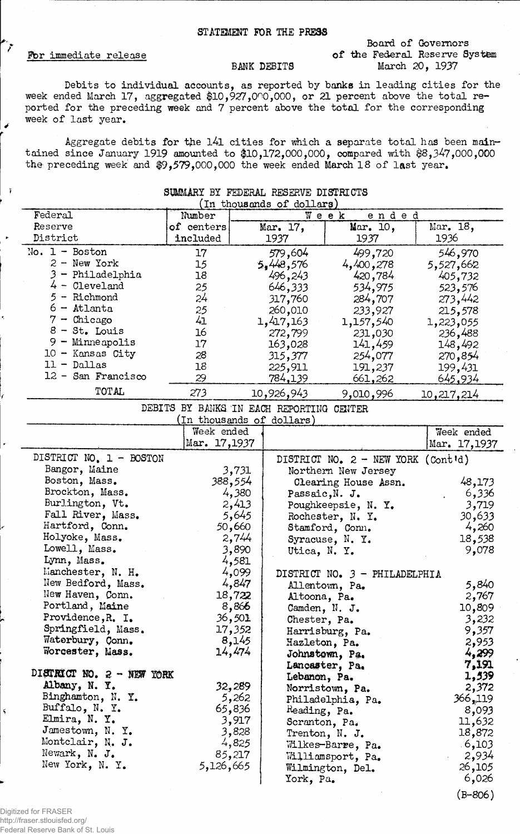## STATEMENT FOR THE PRESS

### Fbr immediate release

 $\tilde{ }$ 

## Board of Governors of the Federal Reserve System March 20, 1937

#### BANK DEBITS

Debits to individual accounts, as reported by banks in leading cities for the week ended March 17, aggregated \$10,927,000,000, or 21 percent above the total reported for the preceding week and 7 percent above the total for the corresponding week of last year.

Aggregate debits for the l4l cities for which a separate total has been maintained since January 1919 amounted to \$10,172,000,000, compared with \$8,347,000,000 the preceding week and \$9,579,000,000 the week ended March 18 of last year.

| In thousands of dollars)  |                                          |               |                |                                      |                  |
|---------------------------|------------------------------------------|---------------|----------------|--------------------------------------|------------------|
| Federal                   | Number                                   | Week<br>ended |                |                                      |                  |
| Reserve                   | of centers                               |               | Mar. 17,       | Mar. 10,                             | Mar. 18,         |
| District                  | included                                 |               | 1937           | 1937                                 | 1936             |
| $No. 1 - Boston$          | 17                                       |               | 579,604        | 499,720                              | 546 <b>,</b> 970 |
| $2 - New York$            | 15                                       |               | 5,448,576      | 4,400,278                            | 5,527,662        |
| 3 - Philadelphia          | 18                                       |               | 496,243        | 420,784                              | 405,732          |
| $4 - Clevel$ and          | 25                                       |               | 646,333        | 534,975                              | 523,576          |
| $5 -$ Richmond            | 24                                       |               | 317,760        | 284,707                              | 273,442          |
| $6 -$ Atlanta             | 25                                       |               | ,010 260       | 233,927                              | 215,578          |
| $7 -$ Chicago             | 41                                       |               | 1,417,163      | 1,157,540                            | 1,223,055        |
| $8 - St.$ Louis           | 16                                       |               | 272,799        | 231,030                              | 236,488          |
| 9 - Minneapolis           | 17                                       |               | 163,028        | 141,459                              | 148,492          |
| $10 -$ Kansas City        | 28                                       |               | 315,377        | 254,077                              | 270,854          |
| $11 - Dallas$             | 18                                       |               | 225,911        | 191,237                              | 199,431          |
| 12 - San Francisco        | 29                                       |               | 784,139        | <u>661,262</u>                       | <u>645,934</u>   |
| TOTAL                     | 273                                      |               | 10,926,943     | 9,010,996                            | 10,217,214       |
|                           | DEBITS BY BANKS IN EACH REPORTING CENTER |               |                |                                      |                  |
|                           | (In thousands of dollars)                |               |                |                                      |                  |
|                           | Week ended                               |               |                |                                      | Week ended       |
|                           | Mar. 17, 1937                            |               |                |                                      | Mar. 17, 1937    |
| DISTRICT NO. 1 - BOSTON   |                                          |               |                | DISTRICT NO. $2$ - NEW YORK (Cont'd) |                  |
| Bangor, Maine             |                                          | 3,731         |                | Northern New Jersey                  |                  |
| Boston, Mass.             |                                          | 388,554       |                | Clearing House Assn.                 | 48,173           |
| Brockton, Mass.           |                                          | 4,380         | Passaic, N. J. |                                      | 6,336            |
| Burlington, Vt.           |                                          | 2,413         |                | Poughkeepsie, N. Y.                  | 3,719            |
| Fall River, Mass.         |                                          | 5,645         |                | Rochester, N. Y.                     | 30,633           |
| Hartford, Conn.           |                                          | 50,660        |                | Stamford, Conn.                      | 4,260            |
| Holyoke, Mass.            |                                          | 2,744         |                | Syracuse, N. Y.                      | 18,538           |
| Lowell, Mass.             |                                          | 3,890         | Utica, N.Y.    |                                      | 9,078            |
| Lynn, Mass.               |                                          | 4,581         |                |                                      |                  |
| Manchester, N. H.         |                                          | 4,099         |                | DISTRICT NO. 3 - PHILADELPHIA        |                  |
| New Bedford, Mass.        |                                          | 4,847         |                | Allentown, Pa.                       | 5,840            |
| New Haven, Conn.          |                                          | 18,722        | Altoona, Pa.   |                                      | 2,767            |
| Portland, Maine           |                                          | 8,866         | Camden, N. J.  |                                      | 10,809           |
| Providence, R. I.         |                                          | 36,501        | Chester, Pa.   |                                      | 3,232            |
| Springfield, Mass.        |                                          | 17,352        |                | Harrisburg, Pa.                      | 9,357            |
| Waterbury, Conn.          |                                          | 8,145         | Hazleton, Pa.  |                                      | 2,953            |
| Worcester, Mass.          |                                          | 14,474        |                | Johnstown, Pa.                       | 4,299            |
|                           |                                          |               |                | Lancaster, Pa.                       | 7,191            |
| DISTRICT NO. 2 - NEW YORK |                                          |               | Lebanon, Pa.   |                                      | 1,539            |
| Albany, N. Y.             |                                          | 32,289        |                | Norristown, Pa.                      | 2,372            |
| Binghamton, N. Y.         |                                          | 5,262         |                | Philadelphia, Pa.                    | 366,119          |
| Buffalo, N. Y.            |                                          | 65,836        | Reading, Pa.   |                                      | 8,093            |
| Elmira, N. Y.             |                                          | 3,917         | Scranton, Pa.  |                                      | 11,632           |
| Jamestown, N. Y.          |                                          | 3,828         |                | Trenton, N. J.                       | 18,872           |
| Montclair, N. J.          |                                          | 4,825         |                | Wilkes-Barre, Pa.                    | .6,103           |
| Newark, N. J.             |                                          | 85,217        |                | Williamsport, Pa.                    | 2,934            |
| New York, N. Y.           | 5,126,665                                |               |                | Wilmington, Del.                     | 26,105           |
|                           |                                          |               | York, Pa.      |                                      | 6,026            |
|                           |                                          |               |                |                                      | $(B-806)$        |

# SUMMARY BY FEDERAL RESERVE DISTRICTS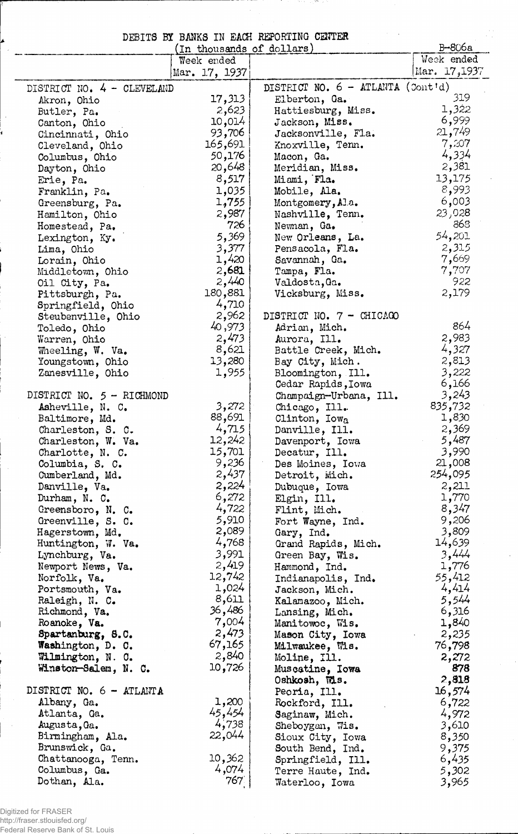DEBITS BY BANKS IN EACH BEACH PLANT CENTER

|                            |                           | DEDITO DI DAMAD IN ENGLI REFORITMO OBMIENT | B-806a       |
|----------------------------|---------------------------|--------------------------------------------|--------------|
|                            | (In thousands of dollars) |                                            | Week ended   |
|                            | Week ended                |                                            |              |
|                            | Mar. 17, 1937             |                                            | Mar. 17,1937 |
| DISTRICT NO. 4 - CLEVELAND |                           | DISTRICT NO. $6 - \text{ATLANTA}$ (Cont'd) |              |
| Akron, Ohio                | 17,313                    | Elberton, Ga.                              | 319          |
| Butler, Pa.                | 2,623                     | Hattiesburg, Miss.                         | 1,322        |
| Canton, Ohio               | 10,014                    | Jackson, Miss.                             | 6,999        |
|                            | 93,706                    | Jacksonville, Fla.                         | 21,749       |
| Cincinnati, Ohio           | 165,691                   |                                            | 7,207        |
| Cleveland, Ohio            |                           | Knoxville, Tenn.                           | 4,334        |
| Columbus, Ohio             | 50,176                    | Macon, Ga.                                 |              |
| Dayton, Ohio               | 20,648                    | Meridian, Miss.                            | 2,381        |
| Erie, Pa.                  | 8,517                     | Miami, Fla.                                | 13,175       |
| Franklin, Pa.              | 1,035                     | Mobile, Ala.                               | 8,993        |
| Greensburg, Pa.            | 1,755                     | Montgomery, Ala.                           | 6,003        |
| Hamilton, Ohio             | 2,987                     | Nashville, Tenn.                           | 23,028       |
| Homestead, Pa.             | 726                       | Newnan, Ga.                                | 868          |
| Lexington, Ky.             | 5,369                     | New Orleans, La.                           | 54,201       |
| Lima, Ohio                 | 3,377                     | Pensacola, Fla.                            | 2,315        |
| Lorain, Ohio               | 1,420                     | Savannah, Ga.                              | 7,669        |
|                            | 2,681                     | Tampa, Fla.                                | 7,707        |
| Middletown, Ohio           | 2,440                     |                                            | 922          |
| Oil City, Pa.              |                           | Valdosta, Ga.                              |              |
| Pittsburgh, Pa.            | 180,881                   | Vicksburg, Miss.                           | 2,179        |
| Springfield, Ohio          | 4,710                     |                                            |              |
| Steubenville, Ohio         | 2,962                     | DISTRICT NO. 7 - CHICAGO                   |              |
| Toledo, Ohio               | 40,973                    | Adrian, Mich.                              | 864          |
| Warren, Ohio               | 2,473                     | Aurora, Ill.                               | 2,983        |
| Wheeling, W. Va.           | 8,621                     | Battle Creek, Mich.                        | 4,327        |
| Youngstown, Ohio           | 13,280                    | Bay City, Mich.                            | 2,813        |
| Zanesville, Ohio           | 1,955                     | Bloomington, Ill.                          | 3,222        |
|                            |                           | Cedar Rapids, Iowa                         | 6,166        |
| DISTRICT NO. 5 - RICHMOND  |                           | Champaign-Urbana, Ill.                     | 3,243        |
| Asheville, N. C.           | 3,272                     | Chicago, Ill.                              | 835,732      |
| Baltimore, Md.             | 88,691                    | Clinton, Iowa                              | 1,830        |
| Charleston, S. C.          | 4,715                     | Danville, Ill.                             | 2,369        |
|                            | 12,242                    |                                            | 5,487        |
| Charleston, W. Va.         |                           | Davenport, Iowa                            |              |
| Charlotte, N. C.           | 15,701                    | Decatur, Ill.                              | 3,990        |
| Columbia, S. C.            | 9,236                     | Des Moines, Iowa                           | 21,008       |
| Cumberland, Md.            | 2,437                     | Detroit, Mich.                             | 254,095      |
| Danville, Va.              | 2,224                     | Dubuque, Iowa                              | 2,211        |
| Durham, N. C.              | 6,272                     | Elgin, Ill.                                | 1,770        |
| Greensboro, N. C.          | 4,722                     | Flint, Mich.                               | 8,347        |
| Greenville, S. C.          | 5,910                     | Fort Wayne, Ind.                           | 9,206        |
| Hagerstown, Md.            | 2,089                     | Gary, Ind.                                 | 3,809        |
| Huntington, W. Va.         | 4,768                     | Grand Rapids, Mich.                        | 14,639       |
| Lynchburg, Va.             | 3,991                     | Green Bay, Wis.                            | 3,444        |
| Newport News, Va.          | 2,419                     | Hammond, Ind.                              | 1,776        |
| Norfolk, Va.               | 12,742                    | Indianapolis, Ind.                         | 55,412       |
| Portsmouth, Va.            | 1,024                     | Jackson, Mich.                             | 4,414        |
| Raleigh, N. C.             | 8,611                     |                                            | 5,544        |
|                            | 36,486                    | Kalamazoo, Mich.                           |              |
| Richmond, Va.              |                           | Lansing, Mich.                             | 6,316        |
| Roanoke, Va.               | 7,004                     | Manitowoc, Wis.                            | 1,840        |
| Spartanburg, 8.C.          | 2,473                     | Mason City, Iowa                           | 2,235        |
| Washington, D. C.          | 67,165                    | Milwaukee, Wis.                            | 76,798       |
| Wilmington, N. C.          | 2,840                     | Moline, Ill.                               | 2,272        |
| Winston-Salem, N. C.       | 10,726                    | Muscatine, Iowa                            | 878          |
|                            |                           | Oshkosh, Mis.                              | 2,818        |
| DISTRICT NO. 6 - ATLANTA   |                           | Peoria, Ill.                               | 16,574       |
| Albany, Ga.                | 1,200                     | Rockford, Ill.                             | 6,722        |
| Atlanta, Ga.               | 45,454                    | Saginaw, Mich.                             | 4,972        |
| Augusta, Ga.               | 4,738                     | Sheboygan, Wis.                            | 3,610        |
| Birmingham, Ala.           | 22,044                    | Sioux City, Iowa                           | 8,350        |
| Brunswick, Ga.             |                           | South Bend, Ind.                           | 9,375        |
| Chattanooga, Tenn.         | 10,362                    | Springfield, Ill.                          | 6,435        |
| Columbus, Ga.              | 4,074                     |                                            |              |
| Dothan, Ala.               | 767                       | Terre Haute, Ind.                          | 5,302        |
|                            |                           | Waterloo, Iowa                             | 3,965        |

Digitized for FRASER http://fraser.stlouisfed.org/ Federal Reserve Bank of St. Louis